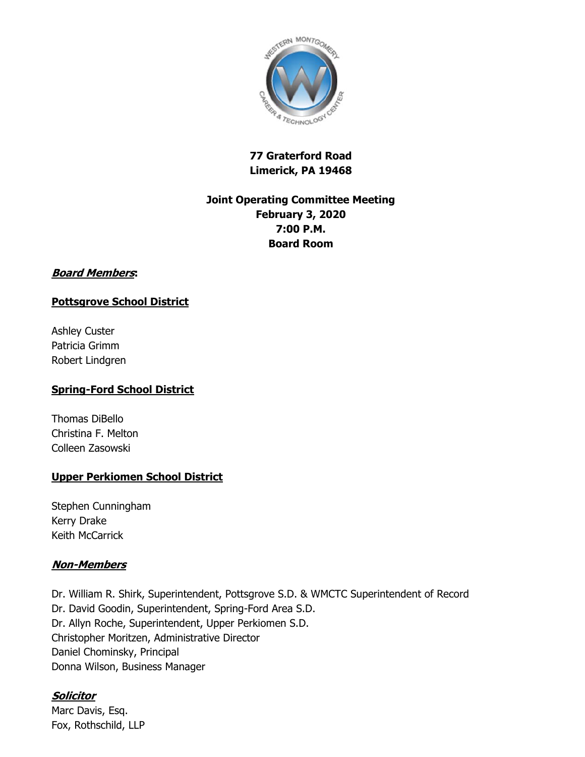

## **77 Graterford Road Limerick, PA 19468**

# **Joint Operating Committee Meeting February 3, 2020 7:00 P.M. Board Room**

#### **Board Members:**

## **Pottsgrove School District**

Ashley Custer Patricia Grimm Robert Lindgren

#### **Spring-Ford School District**

Thomas DiBello Christina F. Melton Colleen Zasowski

## **Upper Perkiomen School District**

Stephen Cunningham Kerry Drake Keith McCarrick

#### **Non-Members**

Dr. William R. Shirk, Superintendent, Pottsgrove S.D. & WMCTC Superintendent of Record Dr. David Goodin, Superintendent, Spring-Ford Area S.D. Dr. Allyn Roche, Superintendent, Upper Perkiomen S.D. Christopher Moritzen, Administrative Director Daniel Chominsky, Principal Donna Wilson, Business Manager

## **Solicitor**

Marc Davis, Esq. Fox, Rothschild, LLP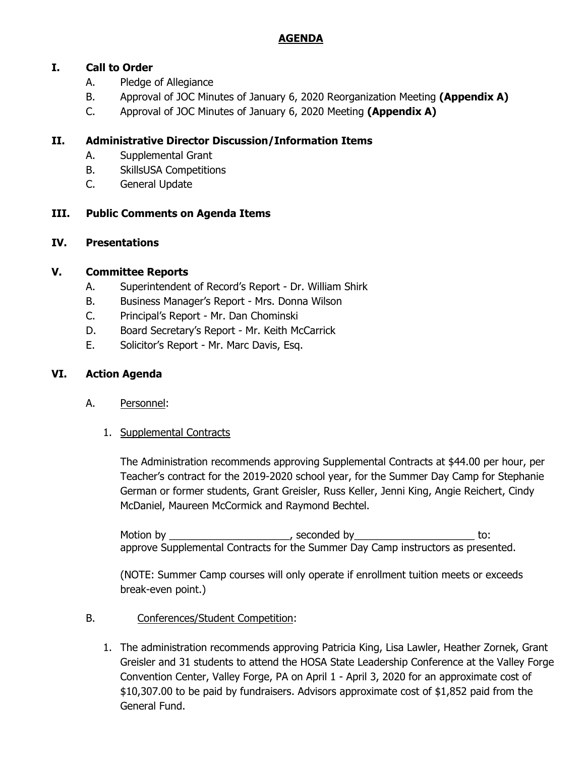## **AGENDA**

## **I. Call to Order**

- A. Pledge of Allegiance
- B. Approval of JOC Minutes of January 6, 2020 Reorganization Meeting **(Appendix A)**
- C. Approval of JOC Minutes of January 6, 2020 Meeting **(Appendix A)**

### **II. Administrative Director Discussion/Information Items**

- A. Supplemental Grant
- B. SkillsUSA Competitions
- C. General Update

## **III. Public Comments on Agenda Items**

#### **IV. Presentations**

#### **V. Committee Reports**

- A. Superintendent of Record's Report Dr. William Shirk
- B. Business Manager's Report Mrs. Donna Wilson
- C. Principal's Report Mr. Dan Chominski
- D. Board Secretary's Report Mr. Keith McCarrick
- E. Solicitor's Report Mr. Marc Davis, Esq.

### **VI. Action Agenda**

- A. Personnel:
	- 1. Supplemental Contracts

The Administration recommends approving Supplemental Contracts at \$44.00 per hour, per Teacher's contract for the 2019-2020 school year, for the Summer Day Camp for Stephanie German or former students, Grant Greisler, Russ Keller, Jenni King, Angie Reichert, Cindy McDaniel, Maureen McCormick and Raymond Bechtel.

Motion by \_\_\_\_\_\_\_\_\_\_\_\_\_\_\_\_\_\_\_\_\_\_\_, seconded by \_\_\_\_\_\_\_\_\_\_\_\_\_\_\_\_\_\_\_\_\_\_\_\_\_\_ to: approve Supplemental Contracts for the Summer Day Camp instructors as presented.

(NOTE: Summer Camp courses will only operate if enrollment tuition meets or exceeds break-even point.)

- B. Conferences/Student Competition:
	- 1. The administration recommends approving Patricia King, Lisa Lawler, Heather Zornek, Grant Greisler and 31 students to attend the HOSA State Leadership Conference at the Valley Forge Convention Center, Valley Forge, PA on April 1 - April 3, 2020 for an approximate cost of \$10,307.00 to be paid by fundraisers. Advisors approximate cost of \$1,852 paid from the General Fund.